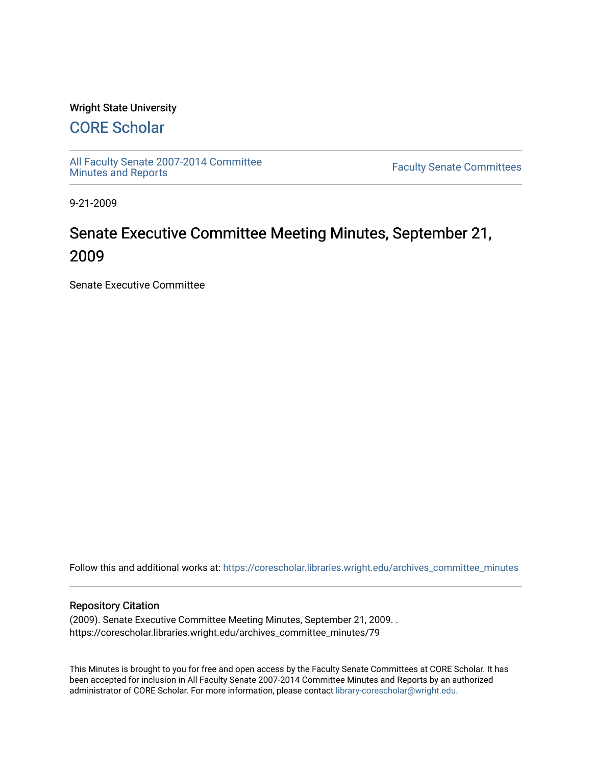### Wright State University

# [CORE Scholar](https://corescholar.libraries.wright.edu/)

[All Faculty Senate 2007-2014 Committee](https://corescholar.libraries.wright.edu/archives_committee_minutes)

**Faculty Senate Committees** 

9-21-2009

# Senate Executive Committee Meeting Minutes, September 21, 2009

Senate Executive Committee

Follow this and additional works at: [https://corescholar.libraries.wright.edu/archives\\_committee\\_minutes](https://corescholar.libraries.wright.edu/archives_committee_minutes?utm_source=corescholar.libraries.wright.edu%2Farchives_committee_minutes%2F79&utm_medium=PDF&utm_campaign=PDFCoverPages) 

#### Repository Citation

(2009). Senate Executive Committee Meeting Minutes, September 21, 2009. . https://corescholar.libraries.wright.edu/archives\_committee\_minutes/79

This Minutes is brought to you for free and open access by the Faculty Senate Committees at CORE Scholar. It has been accepted for inclusion in All Faculty Senate 2007-2014 Committee Minutes and Reports by an authorized administrator of CORE Scholar. For more information, please contact [library-corescholar@wright.edu.](mailto:library-corescholar@wright.edu)